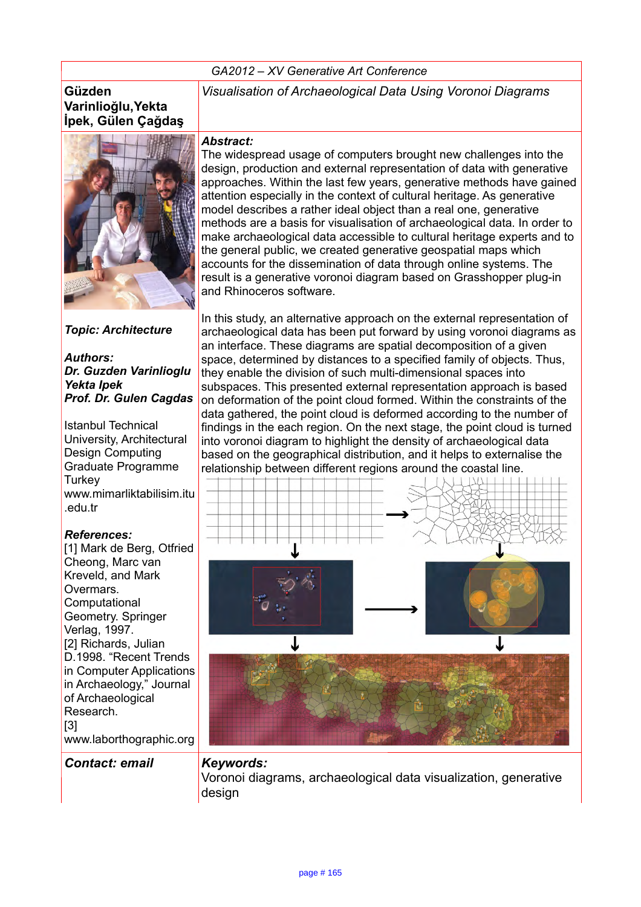#### *GA2012 – XV Generative Art Conference*

#### **Güzden Varinlioğlu,Yekta İpek, Gülen Çağdaş**



*Topic: Architecture*

*Authors: Dr. Guzden Varinlioglu Yekta Ipek Prof. Dr. Gulen Cagdas*

Istanbul Technical University, Architectural Design Computing Graduate Programme **Turkey** www.mimarliktabilisim.itu .edu.tr

#### *References:*

[1] Mark de Berg, Otfried Cheong, Marc van Kreveld, and Mark Overmars. Computational Geometry. Springer Verlag, 1997. [2] Richards, Julian D.1998. "Recent Trends in Computer Applications in Archaeology," Journal of Archaeological Research. [3] www.laborthographic.org

*Contact: email Keywords:* 

*Visualisation of Archaeological Data Using Voronoi Diagrams*

#### *Abstract:*

The widespread usage of computers brought new challenges into the design, production and external representation of data with generative approaches. Within the last few years, generative methods have gained attention especially in the context of cultural heritage. As generative model describes a rather ideal object than a real one, generative methods are a basis for visualisation of archaeological data. In order to make archaeological data accessible to cultural heritage experts and to the general public, we created generative geospatial maps which accounts for the dissemination of data through online systems. The result is a generative voronoi diagram based on Grasshopper plug-in and Rhinoceros software.

In this study, an alternative approach on the external representation of archaeological data has been put forward by using voronoi diagrams as an interface. These diagrams are spatial decomposition of a given space, determined by distances to a specified family of objects. Thus, they enable the division of such multi-dimensional spaces into subspaces. This presented external representation approach is based on deformation of the point cloud formed. Within the constraints of the data gathered, the point cloud is deformed according to the number of findings in the each region. On the next stage, the point cloud is turned into voronoi diagram to highlight the density of archaeological data based on the geographical distribution, and it helps to externalise the relationship between different regions around the coastal line.



Voronoi diagrams, archaeological data visualization, generative design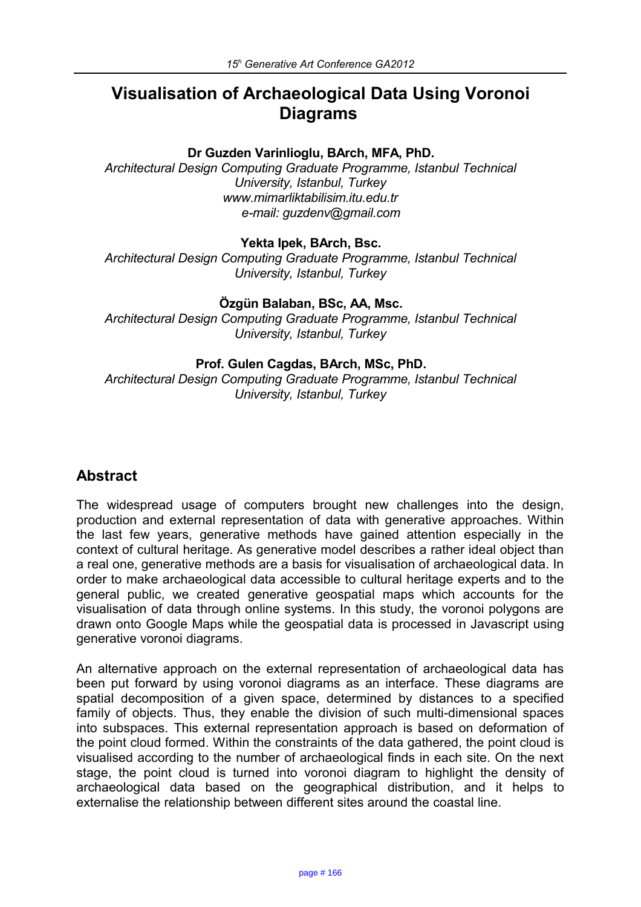# **Visualisation of Archaeological Data Using Voronoi Diagrams**

#### **Dr Guzden Varinlioglu, BArch, MFA, PhD.**

*Architectural Design Computing Graduate Programme, Istanbul Technical University, Istanbul, Turkey www.mimarliktabilisim.itu.edu.tr e-mail: guzdenv@gmail.com*

#### **Yekta Ipek, BArch, Bsc.**

*Architectural Design Computing Graduate Programme, Istanbul Technical University, Istanbul, Turkey*

#### **Özgün Balaban, BSc, AA, Msc.**

*Architectural Design Computing Graduate Programme, Istanbul Technical University, Istanbul, Turkey*

#### **Prof. Gulen Cagdas, BArch, MSc, PhD.**

*Architectural Design Computing Graduate Programme, Istanbul Technical University, Istanbul, Turkey*

## **Abstract**

The widespread usage of computers brought new challenges into the design, production and external representation of data with generative approaches. Within the last few years, generative methods have gained attention especially in the context of cultural heritage. As generative model describes a rather ideal object than a real one, generative methods are a basis for visualisation of archaeological data. In order to make archaeological data accessible to cultural heritage experts and to the general public, we created generative geospatial maps which accounts for the visualisation of data through online systems. In this study, the voronoi polygons are drawn onto Google Maps while the geospatial data is processed in Javascript using generative voronoi diagrams.

An alternative approach on the external representation of archaeological data has been put forward by using voronoi diagrams as an interface. These diagrams are spatial decomposition of a given space, determined by distances to a specified family of objects. Thus, they enable the division of such multi-dimensional spaces into subspaces. This external representation approach is based on deformation of the point cloud formed. Within the constraints of the data gathered, the point cloud is visualised according to the number of archaeological finds in each site. On the next stage, the point cloud is turned into voronoi diagram to highlight the density of archaeological data based on the geographical distribution, and it helps to externalise the relationship between different sites around the coastal line.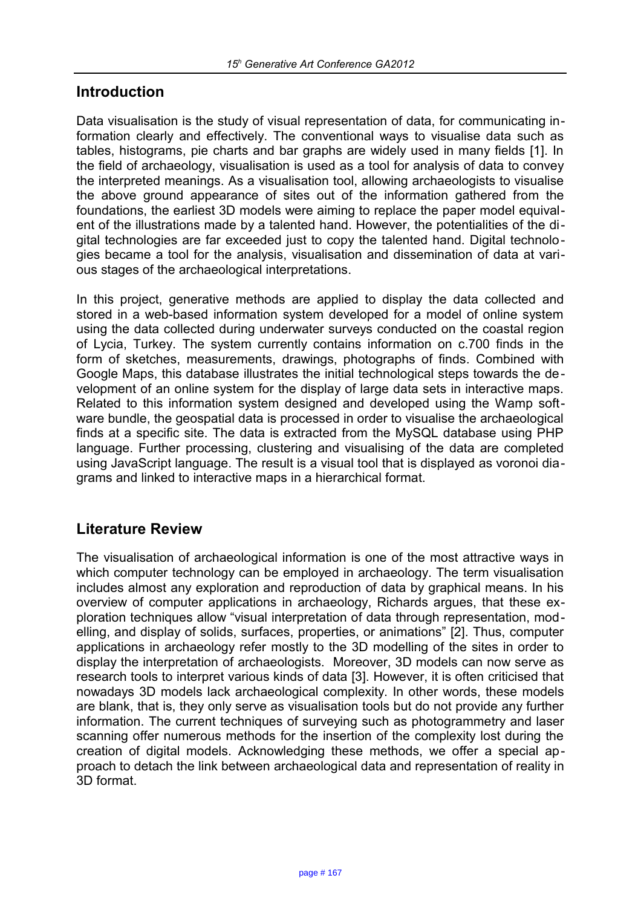## **Introduction**

Data visualisation is the study of visual representation of data, for communicating information clearly and effectively. The conventional ways to visualise data such as tables, histograms, pie charts and bar graphs are widely used in many fields [1]. In the field of archaeology, visualisation is used as a tool for analysis of data to convey the interpreted meanings. As a visualisation tool, allowing archaeologists to visualise the above ground appearance of sites out of the information gathered from the foundations, the earliest 3D models were aiming to replace the paper model equivalent of the illustrations made by a talented hand. However, the potentialities of the digital technologies are far exceeded just to copy the talented hand. Digital technologies became a tool for the analysis, visualisation and dissemination of data at various stages of the archaeological interpretations.

In this project, generative methods are applied to display the data collected and stored in a web-based information system developed for a model of online system using the data collected during underwater surveys conducted on the coastal region of Lycia, Turkey. The system currently contains information on c.700 finds in the form of sketches, measurements, drawings, photographs of finds. Combined with Google Maps, this database illustrates the initial technological steps towards the development of an online system for the display of large data sets in interactive maps. Related to this information system designed and developed using the Wamp software bundle, the geospatial data is processed in order to visualise the archaeological finds at a specific site. The data is extracted from the MySQL database using PHP language. Further processing, clustering and visualising of the data are completed using JavaScript language. The result is a visual tool that is displayed as voronoi diagrams and linked to interactive maps in a hierarchical format.

## **Literature Review**

The visualisation of archaeological information is one of the most attractive ways in which computer technology can be employed in archaeology. The term visualisation includes almost any exploration and reproduction of data by graphical means. In his overview of computer applications in archaeology, Richards argues, that these exploration techniques allow "visual interpretation of data through representation, modelling, and display of solids, surfaces, properties, or animations" [2]. Thus, computer applications in archaeology refer mostly to the 3D modelling of the sites in order to display the interpretation of archaeologists. Moreover, 3D models can now serve as research tools to interpret various kinds of data [3]. However, it is often criticised that nowadays 3D models lack archaeological complexity. In other words, these models are blank, that is, they only serve as visualisation tools but do not provide any further information. The current techniques of surveying such as photogrammetry and laser scanning offer numerous methods for the insertion of the complexity lost during the creation of digital models. Acknowledging these methods, we offer a special approach to detach the link between archaeological data and representation of reality in 3D format.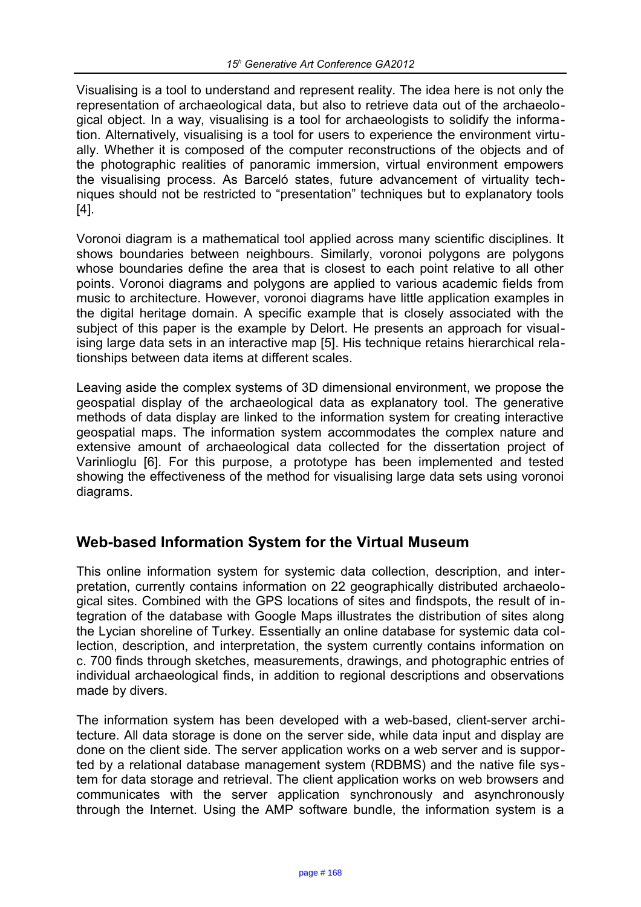Visualising is a tool to understand and represent reality. The idea here is not only the representation of archaeological data, but also to retrieve data out of the archaeological object. In a way, visualising is a tool for archaeologists to solidify the information. Alternatively, visualising is a tool for users to experience the environment virtually. Whether it is composed of the computer reconstructions of the objects and of the photographic realities of panoramic immersion, virtual environment empowers the visualising process. As Barceló states, future advancement of virtuality techniques should not be restricted to "presentation" techniques but to explanatory tools [4].

Voronoi diagram is a mathematical tool applied across many scientific disciplines. It shows boundaries between neighbours. Similarly, voronoi polygons are polygons whose boundaries define the area that is closest to each point relative to all other points. Voronoi diagrams and polygons are applied to various academic fields from music to architecture. However, voronoi diagrams have little application examples in the digital heritage domain. A specific example that is closely associated with the subject of this paper is the example by Delort. He presents an approach for visualising large data sets in an interactive map [5]. His technique retains hierarchical relationships between data items at different scales.

Leaving aside the complex systems of 3D dimensional environment, we propose the geospatial display of the archaeological data as explanatory tool. The generative methods of data display are linked to the information system for creating interactive geospatial maps. The information system accommodates the complex nature and extensive amount of archaeological data collected for the dissertation project of Varinlioglu [6]. For this purpose, a prototype has been implemented and tested showing the effectiveness of the method for visualising large data sets using voronoi diagrams.

## **Web-based Information System for the Virtual Museum**

This online information system for systemic data collection, description, and interpretation, currently contains information on 22 geographically distributed archaeological sites. Combined with the GPS locations of sites and findspots, the result of integration of the database with Google Maps illustrates the distribution of sites along the Lycian shoreline of Turkey. Essentially an online database for systemic data collection, description, and interpretation, the system currently contains information on c. 700 finds through sketches, measurements, drawings, and photographic entries of individual archaeological finds, in addition to regional descriptions and observations made by divers.

The information system has been developed with a web-based, client-server architecture. All data storage is done on the server side, while data input and display are done on the client side. The server application works on a web server and is supported by a relational database management system (RDBMS) and the native file system for data storage and retrieval. The client application works on web browsers and communicates with the server application synchronously and asynchronously through the Internet. Using the AMP software bundle, the information system is a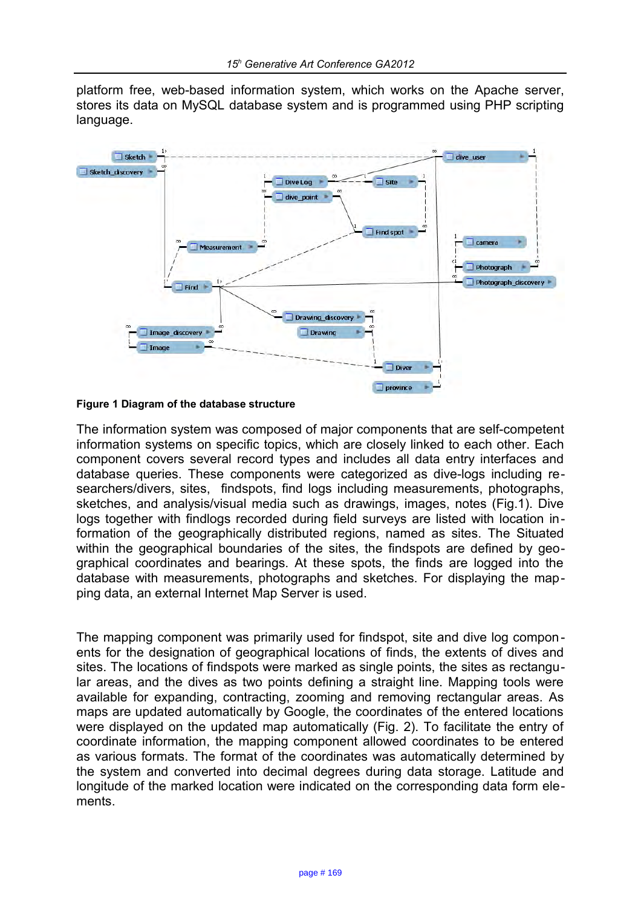platform free, web-based information system, which works on the Apache server, stores its data on MySQL database system and is programmed using PHP scripting language.



**Figure 1 Diagram of the database structure**

The information system was composed of major components that are self-competent information systems on specific topics, which are closely linked to each other. Each component covers several record types and includes all data entry interfaces and database queries. These components were categorized as dive-logs including researchers/divers, sites, findspots, find logs including measurements, photographs, sketches, and analysis/visual media such as drawings, images, notes (Fig.1). Dive logs together with findlogs recorded during field surveys are listed with location information of the geographically distributed regions, named as sites. The Situated within the geographical boundaries of the sites, the findspots are defined by geographical coordinates and bearings. At these spots, the finds are logged into the database with measurements, photographs and sketches. For displaying the mapping data, an external Internet Map Server is used.

The mapping component was primarily used for findspot, site and dive log components for the designation of geographical locations of finds, the extents of dives and sites. The locations of findspots were marked as single points, the sites as rectangular areas, and the dives as two points defining a straight line. Mapping tools were available for expanding, contracting, zooming and removing rectangular areas. As maps are updated automatically by Google, the coordinates of the entered locations were displayed on the updated map automatically (Fig. 2). To facilitate the entry of coordinate information, the mapping component allowed coordinates to be entered as various formats. The format of the coordinates was automatically determined by the system and converted into decimal degrees during data storage. Latitude and longitude of the marked location were indicated on the corresponding data form elements.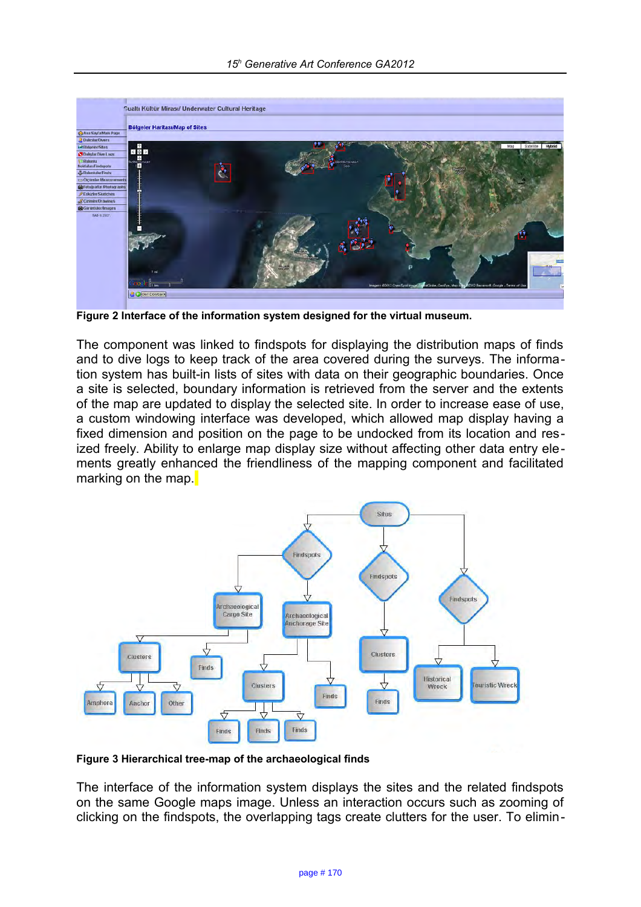

**Figure 2 Interface of the information system designed for the virtual museum.**

The component was linked to findspots for displaying the distribution maps of finds and to dive logs to keep track of the area covered during the surveys. The information system has built-in lists of sites with data on their geographic boundaries. Once a site is selected, boundary information is retrieved from the server and the extents of the map are updated to display the selected site. In order to increase ease of use, a custom windowing interface was developed, which allowed map display having a fixed dimension and position on the page to be undocked from its location and resized freely. Ability to enlarge map display size without affecting other data entry elements greatly enhanced the friendliness of the mapping component and facilitated marking on the map.



**Figure 3 Hierarchical tree-map of the archaeological finds**

The interface of the information system displays the sites and the related findspots on the same Google maps image. Unless an interaction occurs such as zooming of clicking on the findspots, the overlapping tags create clutters for the user. To elimin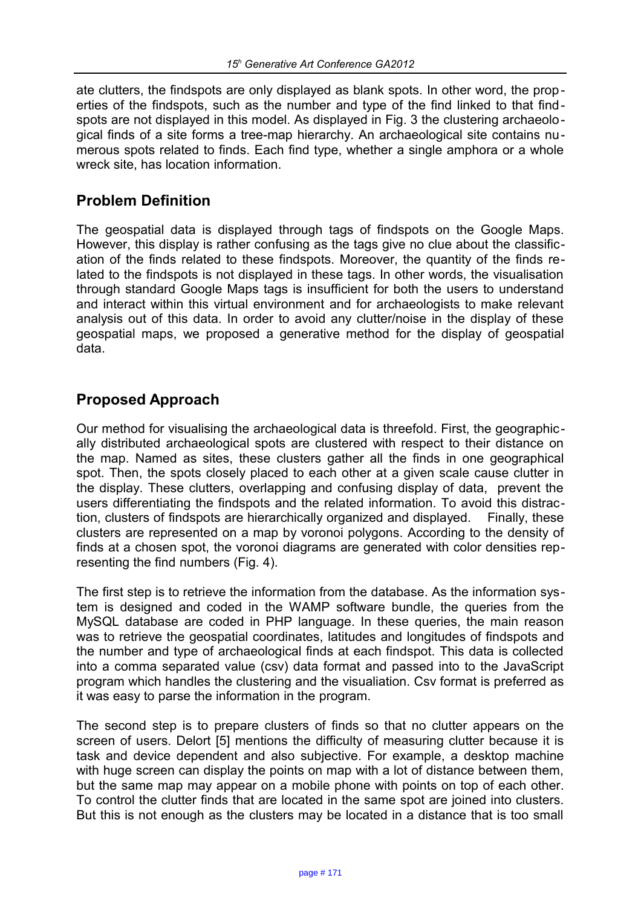ate clutters, the findspots are only displayed as blank spots. In other word, the properties of the findspots, such as the number and type of the find linked to that findspots are not displayed in this model. As displayed in Fig. 3 the clustering archaeological finds of a site forms a tree-map hierarchy. An archaeological site contains numerous spots related to finds. Each find type, whether a single amphora or a whole wreck site, has location information.

## **Problem Definition**

The geospatial data is displayed through tags of findspots on the Google Maps. However, this display is rather confusing as the tags give no clue about the classification of the finds related to these findspots. Moreover, the quantity of the finds related to the findspots is not displayed in these tags. In other words, the visualisation through standard Google Maps tags is insufficient for both the users to understand and interact within this virtual environment and for archaeologists to make relevant analysis out of this data. In order to avoid any clutter/noise in the display of these geospatial maps, we proposed a generative method for the display of geospatial data.

## **Proposed Approach**

Our method for visualising the archaeological data is threefold. First, the geographically distributed archaeological spots are clustered with respect to their distance on the map. Named as sites, these clusters gather all the finds in one geographical spot. Then, the spots closely placed to each other at a given scale cause clutter in the display. These clutters, overlapping and confusing display of data, prevent the users differentiating the findspots and the related information. To avoid this distraction, clusters of findspots are hierarchically organized and displayed. Finally, these clusters are represented on a map by voronoi polygons. According to the density of finds at a chosen spot, the voronoi diagrams are generated with color densities representing the find numbers (Fig. 4).

The first step is to retrieve the information from the database. As the information system is designed and coded in the WAMP software bundle, the queries from the MySQL database are coded in PHP language. In these queries, the main reason was to retrieve the geospatial coordinates, latitudes and longitudes of findspots and the number and type of archaeological finds at each findspot. This data is collected into a comma separated value (csv) data format and passed into to the JavaScript program which handles the clustering and the visualiation. Csv format is preferred as it was easy to parse the information in the program.

The second step is to prepare clusters of finds so that no clutter appears on the screen of users. Delort [5] mentions the difficulty of measuring clutter because it is task and device dependent and also subjective. For example, a desktop machine with huge screen can display the points on map with a lot of distance between them, but the same map may appear on a mobile phone with points on top of each other. To control the clutter finds that are located in the same spot are joined into clusters. But this is not enough as the clusters may be located in a distance that is too small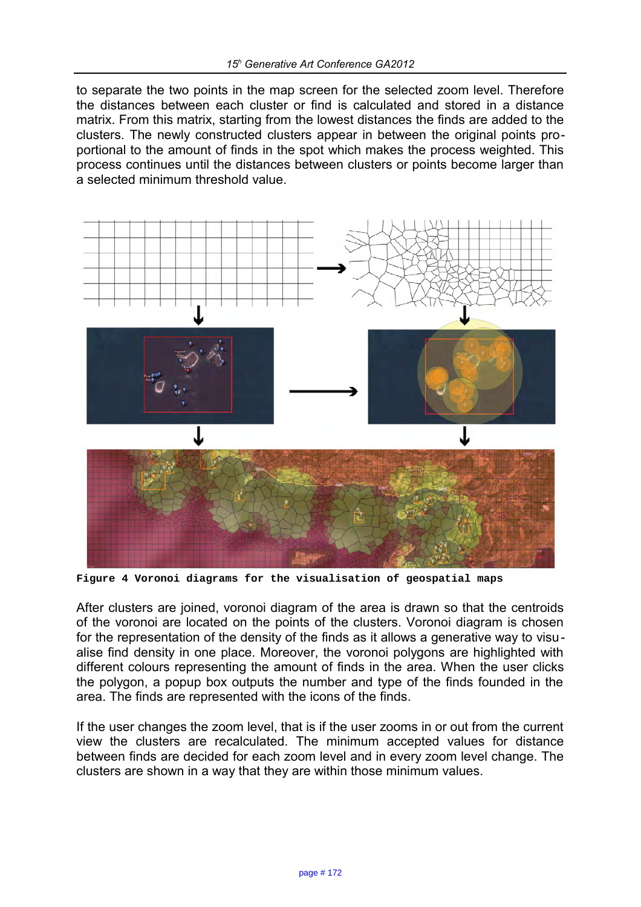to separate the two points in the map screen for the selected zoom level. Therefore the distances between each cluster or find is calculated and stored in a distance matrix. From this matrix, starting from the lowest distances the finds are added to the clusters. The newly constructed clusters appear in between the original points proportional to the amount of finds in the spot which makes the process weighted. This process continues until the distances between clusters or points become larger than a selected minimum threshold value.



**Figure 4 Voronoi diagrams for the visualisation of geospatial maps**

After clusters are joined, voronoi diagram of the area is drawn so that the centroids of the voronoi are located on the points of the clusters. Voronoi diagram is chosen for the representation of the density of the finds as it allows a generative way to visualise find density in one place. Moreover, the voronoi polygons are highlighted with different colours representing the amount of finds in the area. When the user clicks the polygon, a popup box outputs the number and type of the finds founded in the area. The finds are represented with the icons of the finds.

If the user changes the zoom level, that is if the user zooms in or out from the current view the clusters are recalculated. The minimum accepted values for distance between finds are decided for each zoom level and in every zoom level change. The clusters are shown in a way that they are within those minimum values.